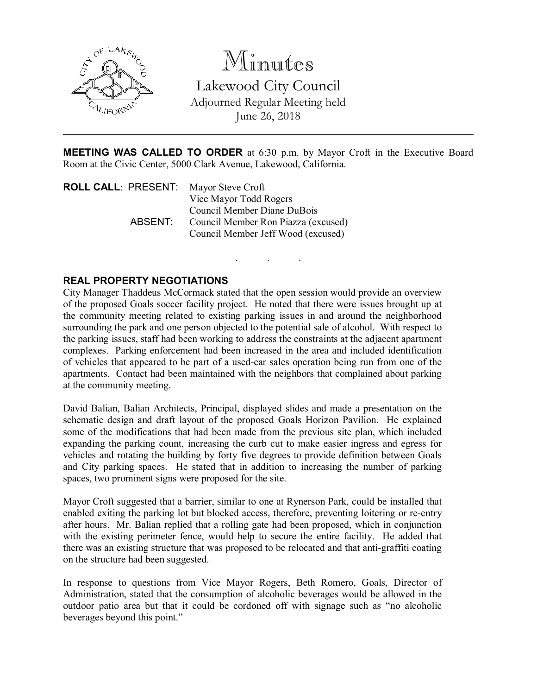

Minutes Lakewood City Council Adjourned Regular Meeting held June 26, 2018

MEETING WAS CALLED TO ORDER at 6:30 p.m. by Mayor Croft in the Executive Board Room at the Civic Center, 5000 Clark Avenue, Lakewood, California.

. . .

| ROLL CALL: PRESENT: | Mayor Steve Croft                   |
|---------------------|-------------------------------------|
|                     | Vice Mayor Todd Rogers              |
|                     | Council Member Diane DuBois         |
| ABSENT:             | Council Member Ron Piazza (excused) |
|                     | Council Member Jeff Wood (excused)  |

## REAL PROPERTY NEGOTIATIONS

City Manager Thaddeus McCormack stated that the open session would provide an overview of the proposed Goals soccer facility project. He noted that there were issues brought up at the community meeting related to existing parking issues in and around the neighborhood surrounding the park and one person objected to the potential sale of alcohol. With respect to the parking issues, staff had been working to address the constraints at the adjacent apartment complexes. Parking enforcement had been increased in the area and included identification of vehicles that appeared to be part of a used-car sales operation being run from one of the apartments. Contact had been maintained with the neighbors that complained about parking at the community meeting.

David Balian, Balian Architects, Principal, displayed slides and made a presentation on the schematic design and draft layout of the proposed Goals Horizon Pavilion. He explained some of the modifications that had been made from the previous site plan, which included expanding the parking count, increasing the curb cut to make easier ingress and egress for vehicles and rotating the building by forty five degrees to provide definition between Goals and City parking spaces. He stated that in addition to increasing the number of parking spaces, two prominent signs were proposed for the site.

Mayor Croft suggested that a barrier, similar to one at Rynerson Park, could be installed that enabled exiting the parking lot but blocked access, therefore, preventing loitering or re-entry after hours. Mr. Balian replied that a rolling gate had been proposed, which in conjunction with the existing perimeter fence, would help to secure the entire facility. He added that there was an existing structure that was proposed to be relocated and that anti-graffiti coating on the structure had been suggested.

In response to questions from Vice Mayor Rogers, Beth Romero, Goals, Director of Administration, stated that the consumption of alcoholic beverages would be allowed in the outdoor patio area but that it could be cordoned off with signage such as "no alcoholic beverages beyond this point."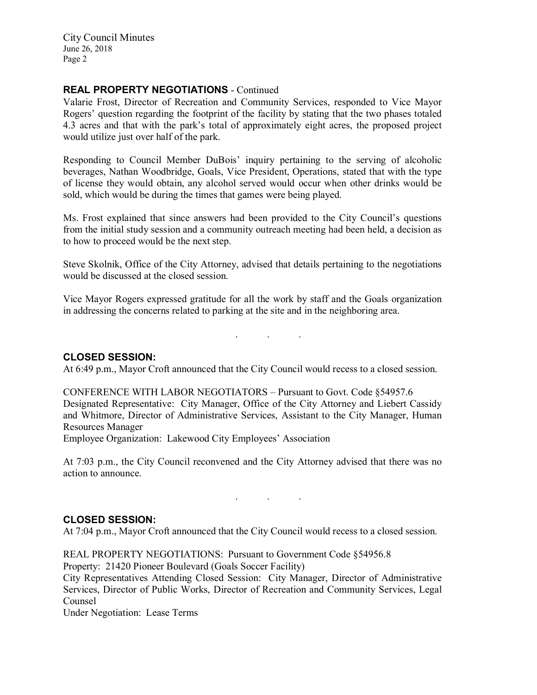City Council Minutes June 26, 2018 Page 2

### REAL PROPERTY NEGOTIATIONS - Continued

Valarie Frost, Director of Recreation and Community Services, responded to Vice Mayor Rogers' question regarding the footprint of the facility by stating that the two phases totaled 4.3 acres and that with the park's total of approximately eight acres, the proposed project would utilize just over half of the park.

Responding to Council Member DuBois' inquiry pertaining to the serving of alcoholic beverages, Nathan Woodbridge, Goals, Vice President, Operations, stated that with the type of license they would obtain, any alcohol served would occur when other drinks would be sold, which would be during the times that games were being played.

Ms. Frost explained that since answers had been provided to the City Council's questions from the initial study session and a community outreach meeting had been held, a decision as to how to proceed would be the next step.

Steve Skolnik, Office of the City Attorney, advised that details pertaining to the negotiations would be discussed at the closed session.

Vice Mayor Rogers expressed gratitude for all the work by staff and the Goals organization in addressing the concerns related to parking at the site and in the neighboring area.

. . .

#### CLOSED SESSION:

At 6:49 p.m., Mayor Croft announced that the City Council would recess to a closed session.

CONFERENCE WITH LABOR NEGOTIATORS – Pursuant to Govt. Code §54957.6 Designated Representative: City Manager, Office of the City Attorney and Liebert Cassidy and Whitmore, Director of Administrative Services, Assistant to the City Manager, Human Resources Manager

Employee Organization: Lakewood City Employees' Association

At 7:03 p.m., the City Council reconvened and the City Attorney advised that there was no action to announce.

. . .

#### CLOSED SESSION:

At 7:04 p.m., Mayor Croft announced that the City Council would recess to a closed session.

REAL PROPERTY NEGOTIATIONS: Pursuant to Government Code §54956.8

Property: 21420 Pioneer Boulevard (Goals Soccer Facility)

City Representatives Attending Closed Session: City Manager, Director of Administrative Services, Director of Public Works, Director of Recreation and Community Services, Legal Counsel

Under Negotiation: Lease Terms